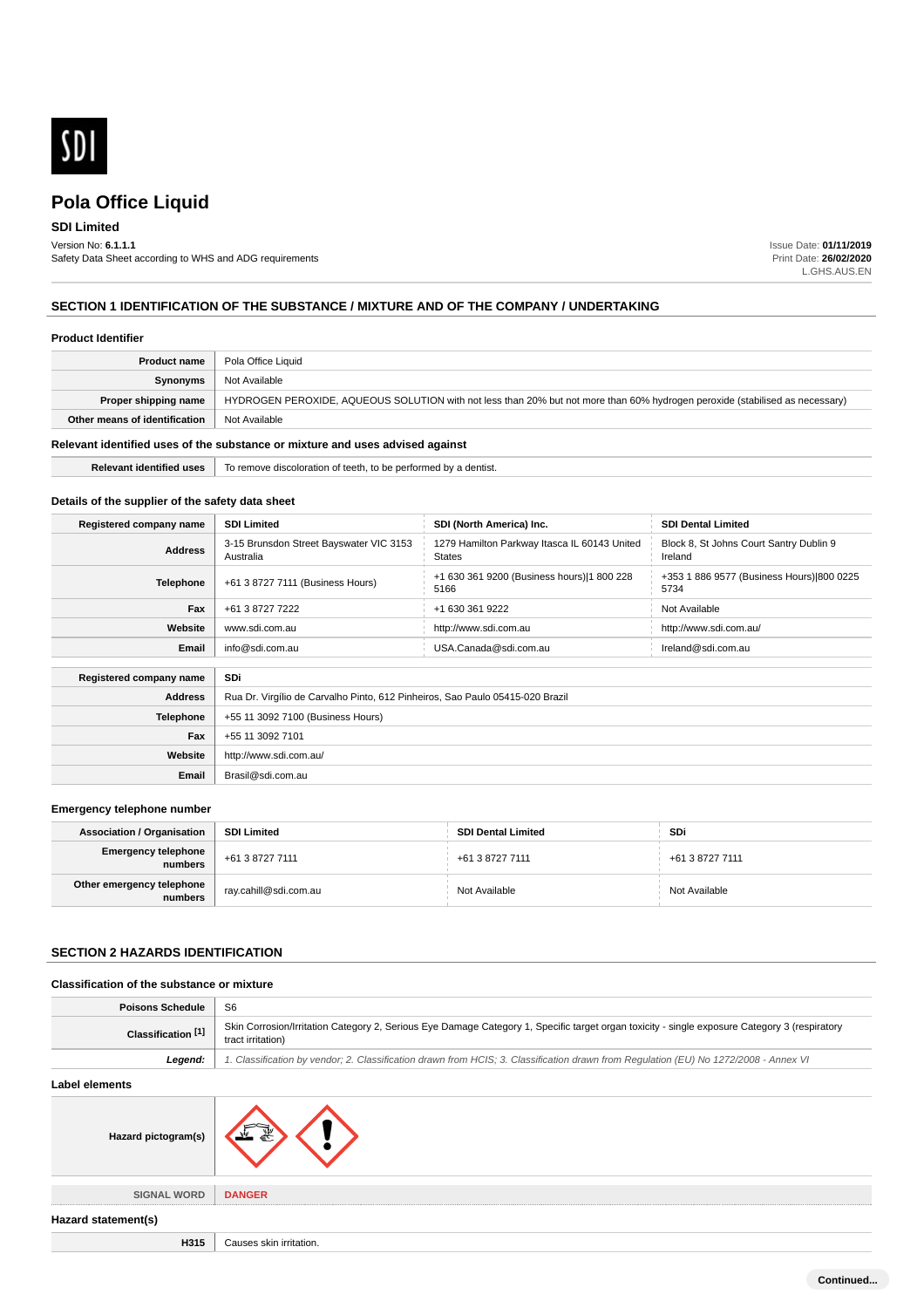

# **SDI Limited**

Version No: **6.1.1.1** Safety Data Sheet according to WHS and ADG requirements Issue Date: **01/11/2019** Print Date: **26/02/2020** L.GHS.AUS.EN

# **SECTION 1 IDENTIFICATION OF THE SUBSTANCE / MIXTURE AND OF THE COMPANY / UNDERTAKING**

**Relevant identified uses** To remove discoloration of teeth, to be performed by a dentist.

#### **Product Identifier**

| <b>Product name</b>                                                           | Pola Office Liquid                                                                                                           |
|-------------------------------------------------------------------------------|------------------------------------------------------------------------------------------------------------------------------|
| Synonyms                                                                      | Not Available                                                                                                                |
| Proper shipping name                                                          | HYDROGEN PEROXIDE, AQUEOUS SOLUTION with not less than 20% but not more than 60% hydrogen peroxide (stabilised as necessary) |
| Other means of identification                                                 | Not Available                                                                                                                |
| Relevant identified uses of the substance or mixture and uses advised against |                                                                                                                              |

# **Details of the supplier of the safety data sheet**

| Registered company name | <b>SDI Limited</b>                                                            | SDI (North America) Inc.                                      | <b>SDI Dental Limited</b>                          |
|-------------------------|-------------------------------------------------------------------------------|---------------------------------------------------------------|----------------------------------------------------|
| <b>Address</b>          | 3-15 Brunsdon Street Bayswater VIC 3153<br>Australia                          | 1279 Hamilton Parkway Itasca IL 60143 United<br><b>States</b> | Block 8, St Johns Court Santry Dublin 9<br>Ireland |
| <b>Telephone</b>        | +61 3 8727 7111 (Business Hours)                                              | +1 630 361 9200 (Business hours) 1 800 228<br>5166            | +353 1 886 9577 (Business Hours) 800 0225<br>5734  |
| Fax                     | +61 3 8727 7222                                                               | +1 630 361 9222                                               | Not Available                                      |
| Website                 | www.sdi.com.au                                                                | http://www.sdi.com.au                                         | http://www.sdi.com.au/                             |
| Email                   | info@sdi.com.au                                                               | USA.Canada@sdi.com.au                                         | Ireland@sdi.com.au                                 |
|                         |                                                                               |                                                               |                                                    |
| Registered company name | SDi                                                                           |                                                               |                                                    |
| <b>Address</b>          | Rua Dr. Virgílio de Carvalho Pinto, 612 Pinheiros, Sao Paulo 05415-020 Brazil |                                                               |                                                    |
| <b>Telephone</b>        | +55 11 3092 7100 (Business Hours)                                             |                                                               |                                                    |
| Fax                     | +55 11 3092 7101                                                              |                                                               |                                                    |
| Website                 | http://www.sdi.com.au/                                                        |                                                               |                                                    |
| Email                   | Brasil@sdi.com.au                                                             |                                                               |                                                    |

### **Emergency telephone number**

| <b>Association / Organisation</b>               | <b>SDI Limited</b>                 | <b>SDI Dental Limited</b> | SDi             |
|-------------------------------------------------|------------------------------------|---------------------------|-----------------|
| Emergency telephone<br>numbers  +61 3 8727 7111 |                                    | +61 3 8727 7111           | +61 3 8727 7111 |
| Other emergency telephone<br>numbers            | <sup>1</sup> ray.cahill@sdi.com.au | Not Available             | Not Available   |

# **SECTION 2 HAZARDS IDENTIFICATION**

#### **Classification of the substance or mixture**

| <b>Poisons Schedule</b>   | S <sub>6</sub>                                                                                                                                                     |  |
|---------------------------|--------------------------------------------------------------------------------------------------------------------------------------------------------------------|--|
| <b>Classification [1]</b> | Skin Corrosion/Irritation Category 2, Serious Eye Damage Category 1, Specific target organ toxicity - single exposure Category 3 (respiratory<br>tract irritation) |  |
| Legend:                   | 1. Classification by vendor; 2. Classification drawn from HCIS; 3. Classification drawn from Regulation (EU) No 1272/2008 - Annex VI                               |  |
| Label elements            |                                                                                                                                                                    |  |
|                           | Hazard pictogram(s)                                                                                                                                                |  |

**SIGNAL WORD DANGER**



#### **Hazard statement(s)**

**H315** Causes skin irritation.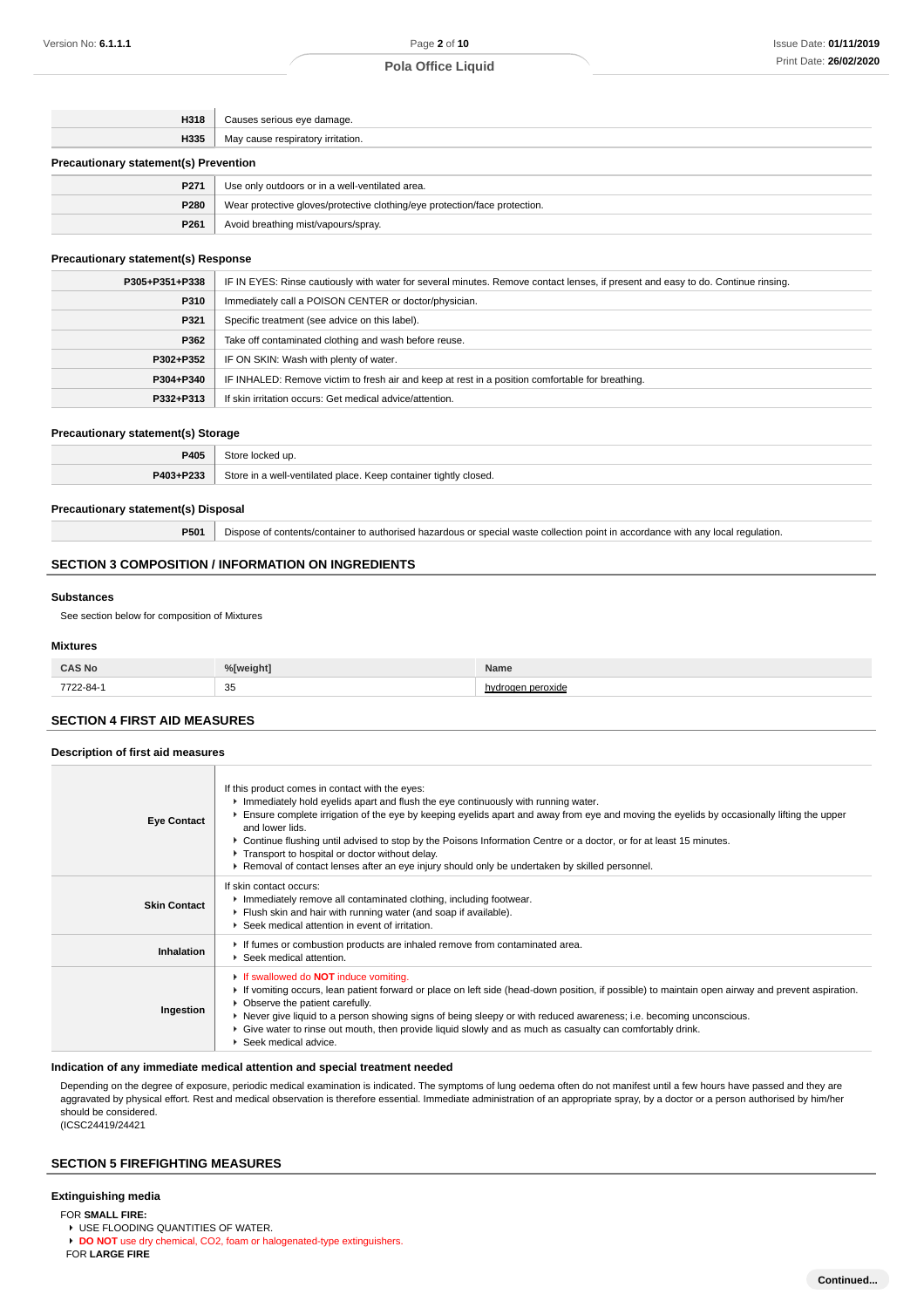| H318                                         | Causes serious eye damage.                                                 |
|----------------------------------------------|----------------------------------------------------------------------------|
| H335                                         | May cause respiratory irritation.                                          |
| <b>Precautionary statement(s) Prevention</b> |                                                                            |
| P271                                         | Use only outdoors or in a well-ventilated area.                            |
| P280                                         | Wear protective gloves/protective clothing/eye protection/face protection. |
| P <sub>261</sub>                             | Avoid breathing mist/vapours/spray.                                        |

#### **Precautionary statement(s) Response**

| P305+P351+P338 | IF IN EYES: Rinse cautiously with water for several minutes. Remove contact lenses, if present and easy to do. Continue rinsing. |
|----------------|----------------------------------------------------------------------------------------------------------------------------------|
| P310           | Immediately call a POISON CENTER or doctor/physician.                                                                            |
| P321           | Specific treatment (see advice on this label).                                                                                   |
| P362           | Take off contaminated clothing and wash before reuse.                                                                            |
| P302+P352      | IF ON SKIN: Wash with plenty of water.                                                                                           |
| P304+P340      | IF INHALED: Remove victim to fresh air and keep at rest in a position comfortable for breathing.                                 |
| P332+P313      | If skin irritation occurs: Get medical advice/attention.                                                                         |

### **Precautionary statement(s) Storage**

| P405      | $+0.5$                                                                                     |
|-----------|--------------------------------------------------------------------------------------------|
| P403+P233 | $^{\circ}$ tore.<br>ancin hatclitnav."<br>Kaan containar<br>* tightly closed.<br>181C<br>. |

#### **Precautionary statement(s) Disposal**

**P501** Dispose of contents/container to authorised hazardous or special waste collection point in accordance with any local regulation.

# **SECTION 3 COMPOSITION / INFORMATION ON INGREDIENTS**

#### **Substances**

See section below for composition of Mixtures

#### **Mixtures**

| S No         | / Inscores | <b>Name</b> |
|--------------|------------|-------------|
| 7700<br>____ | 35         |             |

## **SECTION 4 FIRST AID MEASURES**

| Description of first aid measures |                                                                                                                                                                                                                                                                                                                                                                                                                                                                                                                                                                                   |  |  |
|-----------------------------------|-----------------------------------------------------------------------------------------------------------------------------------------------------------------------------------------------------------------------------------------------------------------------------------------------------------------------------------------------------------------------------------------------------------------------------------------------------------------------------------------------------------------------------------------------------------------------------------|--|--|
| <b>Eye Contact</b>                | If this product comes in contact with the eyes:<br>Immediately hold eyelids apart and flush the eye continuously with running water.<br>Ensure complete irrigation of the eye by keeping eyelids apart and away from eye and moving the eyelids by occasionally lifting the upper<br>and lower lids.<br>▶ Continue flushing until advised to stop by the Poisons Information Centre or a doctor, or for at least 15 minutes.<br>Transport to hospital or doctor without delay.<br>▶ Removal of contact lenses after an eye injury should only be undertaken by skilled personnel. |  |  |
| <b>Skin Contact</b>               | If skin contact occurs:<br>Inmediately remove all contaminated clothing, including footwear.<br>Flush skin and hair with running water (and soap if available).<br>▶ Seek medical attention in event of irritation.                                                                                                                                                                                                                                                                                                                                                               |  |  |
| Inhalation                        | If fumes or combustion products are inhaled remove from contaminated area.<br>▶ Seek medical attention.                                                                                                                                                                                                                                                                                                                                                                                                                                                                           |  |  |
| Ingestion                         | If swallowed do <b>NOT</b> induce vomiting.<br>► If vomiting occurs, lean patient forward or place on left side (head-down position, if possible) to maintain open airway and prevent aspiration.<br>• Observe the patient carefully.<br>▶ Never give liquid to a person showing signs of being sleepy or with reduced awareness; i.e. becoming unconscious.<br>► Give water to rinse out mouth, then provide liquid slowly and as much as casualty can comfortably drink.<br>Seek medical advice.                                                                                |  |  |

#### **Indication of any immediate medical attention and special treatment needed**

Depending on the degree of exposure, periodic medical examination is indicated. The symptoms of lung oedema often do not manifest until a few hours have passed and they are aggravated by physical effort. Rest and medical observation is therefore essential. Immediate administration of an appropriate spray, by a doctor or a person authorised by him/her should be considered. (ICSC24419/24421

### **SECTION 5 FIREFIGHTING MEASURES**

# **Extinguishing media**

FOR **SMALL FIRE:**

**EXECUTE FLOODING QUANTITIES OF WATER.** 

**DO NOT** use dry chemical, CO2, foam or halogenated-type extinguishers.

FOR **LARGE FIRE**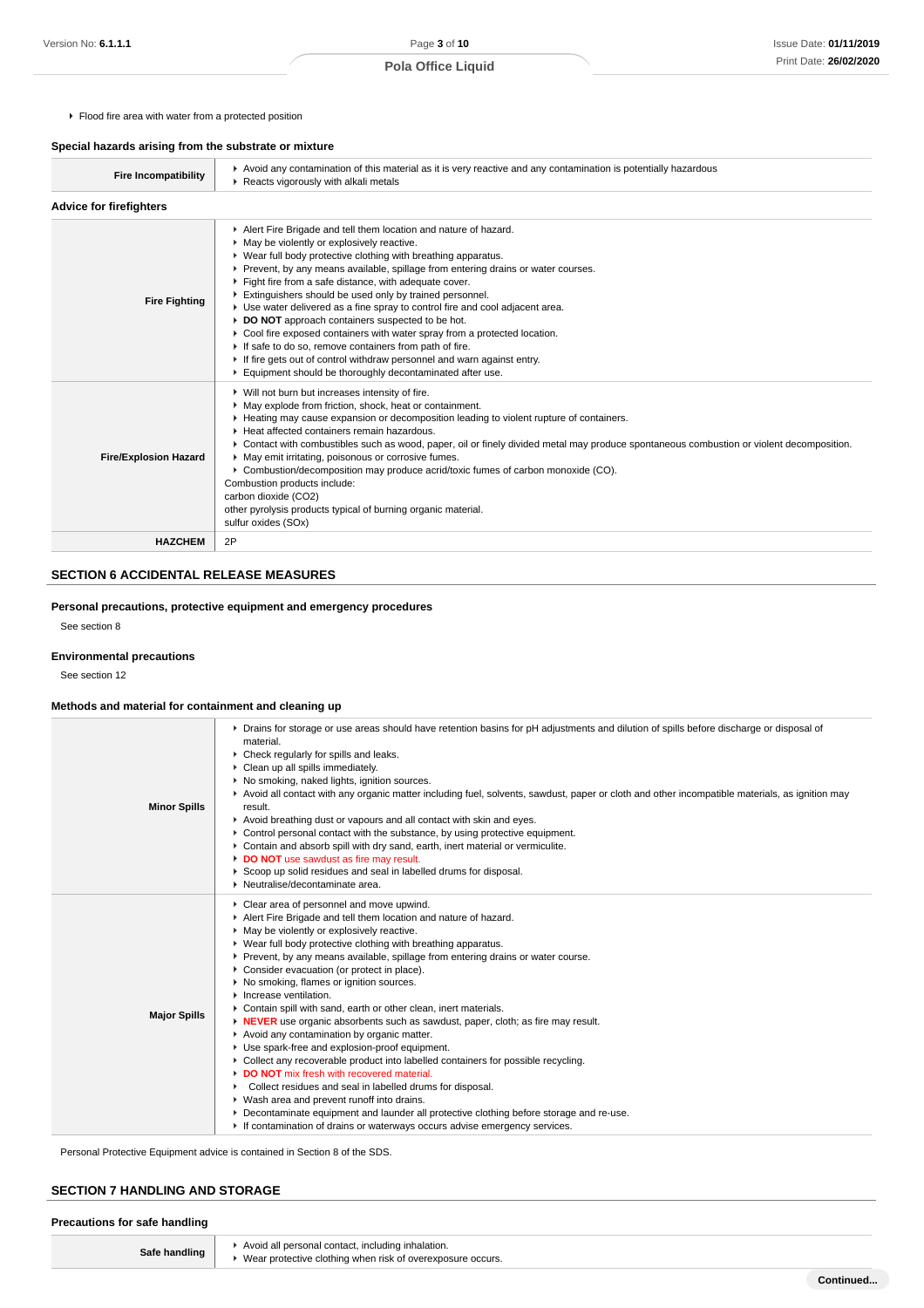$F$  Flood fire area with water from a protected position

# **Special hazards arising from the substrate or mixture**

| <b>Fire Incompatibility</b>    | ► Avoid any contamination of this material as it is very reactive and any contamination is potentially hazardous<br>Reacts vigorously with alkali metals                                                                                                                                                                                                                                                                                                                                                                                                                                                                                                                                                                                                                                                   |
|--------------------------------|------------------------------------------------------------------------------------------------------------------------------------------------------------------------------------------------------------------------------------------------------------------------------------------------------------------------------------------------------------------------------------------------------------------------------------------------------------------------------------------------------------------------------------------------------------------------------------------------------------------------------------------------------------------------------------------------------------------------------------------------------------------------------------------------------------|
| <b>Advice for firefighters</b> |                                                                                                                                                                                                                                                                                                                                                                                                                                                                                                                                                                                                                                                                                                                                                                                                            |
| <b>Fire Fighting</b>           | Alert Fire Brigade and tell them location and nature of hazard.<br>• May be violently or explosively reactive.<br>▶ Wear full body protective clothing with breathing apparatus.<br>▶ Prevent, by any means available, spillage from entering drains or water courses.<br>Fight fire from a safe distance, with adequate cover.<br>Extinguishers should be used only by trained personnel.<br>Use water delivered as a fine spray to control fire and cool adjacent area.<br>DO NOT approach containers suspected to be hot.<br>▶ Cool fire exposed containers with water spray from a protected location.<br>If safe to do so, remove containers from path of fire.<br>If fire gets out of control withdraw personnel and warn against entry.<br>Equipment should be thoroughly decontaminated after use. |
| <b>Fire/Explosion Hazard</b>   | ▶ Will not burn but increases intensity of fire.<br>• May explode from friction, shock, heat or containment.<br>► Heating may cause expansion or decomposition leading to violent rupture of containers.<br>Heat affected containers remain hazardous.<br>▶ Contact with combustibles such as wood, paper, oil or finely divided metal may produce spontaneous combustion or violent decomposition.<br>• May emit irritating, poisonous or corrosive fumes.<br>▶ Combustion/decomposition may produce acrid/toxic fumes of carbon monoxide (CO).<br>Combustion products include:<br>carbon dioxide (CO2)<br>other pyrolysis products typical of burning organic material.<br>sulfur oxides (SOx)                                                                                                           |
| <b>HAZCHEM</b>                 | 2P                                                                                                                                                                                                                                                                                                                                                                                                                                                                                                                                                                                                                                                                                                                                                                                                         |

# **SECTION 6 ACCIDENTAL RELEASE MEASURES**

**Personal precautions, protective equipment and emergency procedures**

See section 8

# **Environmental precautions**

See section 12

# **Methods and material for containment and cleaning up**

| <b>Minor Spills</b> | ▶ Drains for storage or use areas should have retention basins for pH adjustments and dilution of spills before discharge or disposal of<br>material.<br>Check regularly for spills and leaks.<br>Clean up all spills immediately.<br>▶ No smoking, naked lights, ignition sources.<br>▶ Avoid all contact with any organic matter including fuel, solvents, sawdust, paper or cloth and other incompatible materials, as ignition may<br>result.<br>Avoid breathing dust or vapours and all contact with skin and eyes.<br>► Control personal contact with the substance, by using protective equipment.<br>Contain and absorb spill with dry sand, earth, inert material or vermiculite.<br>DO NOT use sawdust as fire may result.<br>Scoop up solid residues and seal in labelled drums for disposal.<br>• Neutralise/decontaminate area.                                                                                                                                                                                                                                                                                                   |
|---------------------|------------------------------------------------------------------------------------------------------------------------------------------------------------------------------------------------------------------------------------------------------------------------------------------------------------------------------------------------------------------------------------------------------------------------------------------------------------------------------------------------------------------------------------------------------------------------------------------------------------------------------------------------------------------------------------------------------------------------------------------------------------------------------------------------------------------------------------------------------------------------------------------------------------------------------------------------------------------------------------------------------------------------------------------------------------------------------------------------------------------------------------------------|
| <b>Major Spills</b> | Clear area of personnel and move upwind.<br>Alert Fire Brigade and tell them location and nature of hazard.<br>• May be violently or explosively reactive.<br>▶ Wear full body protective clothing with breathing apparatus.<br>Prevent, by any means available, spillage from entering drains or water course.<br>Consider evacuation (or protect in place).<br>▶ No smoking, flames or ignition sources.<br>$\blacktriangleright$ Increase ventilation.<br>Contain spill with sand, earth or other clean, inert materials.<br>IN <b>NEVER</b> use organic absorbents such as sawdust, paper, cloth; as fire may result.<br>Avoid any contamination by organic matter.<br>Use spark-free and explosion-proof equipment.<br>► Collect any recoverable product into labelled containers for possible recycling.<br>DO NOT mix fresh with recovered material.<br>Collect residues and seal in labelled drums for disposal.<br>▶ Wash area and prevent runoff into drains.<br>Decontaminate equipment and launder all protective clothing before storage and re-use.<br>If contamination of drains or waterways occurs advise emergency services. |

Personal Protective Equipment advice is contained in Section 8 of the SDS.

# **SECTION 7 HANDLING AND STORAGE**

## **Precautions for safe handling**

| Safe handling | Avoid all persona |
|---------------|-------------------|
|               | ▶ Wear protective |

| Avoid all personal contact, including inhalation.<br>Wear protective clothing when risk of overexposure occurs. |           |
|-----------------------------------------------------------------------------------------------------------------|-----------|
|                                                                                                                 | Continued |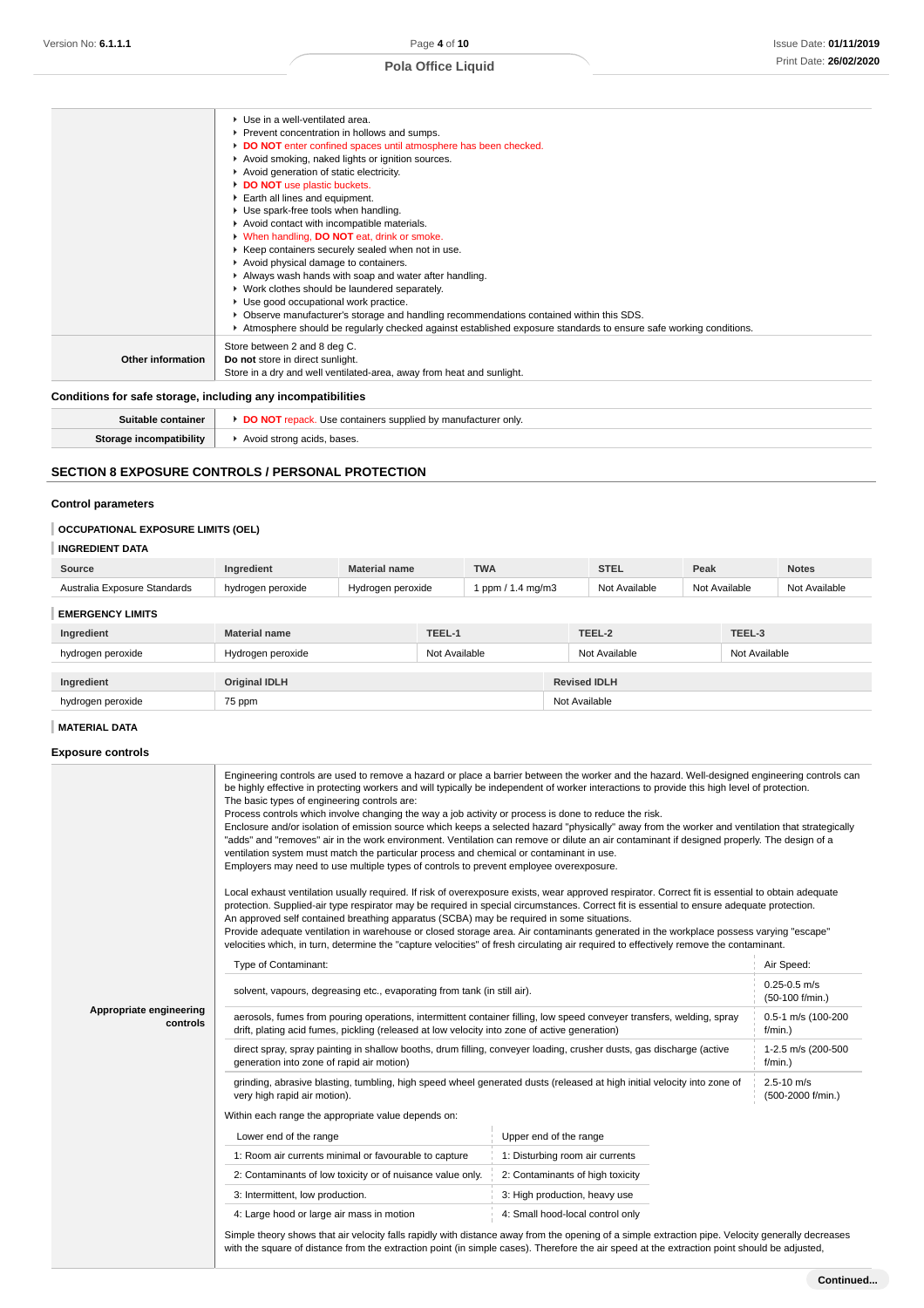|                          | ▶ Use in a well-ventilated area.                                                                                 |
|--------------------------|------------------------------------------------------------------------------------------------------------------|
|                          | Prevent concentration in hollows and sumps.                                                                      |
|                          | DO NOT enter confined spaces until atmosphere has been checked.                                                  |
|                          | Avoid smoking, naked lights or ignition sources.                                                                 |
|                          | Avoid generation of static electricity.                                                                          |
|                          | DO NOT use plastic buckets.                                                                                      |
|                          | Earth all lines and equipment.                                                                                   |
|                          | Use spark-free tools when handling.                                                                              |
|                          | Avoid contact with incompatible materials.                                                                       |
|                          | V When handling, DO NOT eat, drink or smoke.                                                                     |
|                          | ▶ Keep containers securely sealed when not in use.                                                               |
|                          | Avoid physical damage to containers.                                                                             |
|                          | Always wash hands with soap and water after handling.                                                            |
|                          | ▶ Work clothes should be laundered separately.                                                                   |
|                          | Use good occupational work practice.                                                                             |
|                          | ▶ Observe manufacturer's storage and handling recommendations contained within this SDS.                         |
|                          | Atmosphere should be regularly checked against established exposure standards to ensure safe working conditions. |
|                          | Store between 2 and 8 deg C.                                                                                     |
| <b>Other information</b> | Do not store in direct sunlight.                                                                                 |
|                          | Store in a dry and well ventilated-area, away from heat and sunlight.                                            |

# **Conditions for safe storage, including any incompatibilities**

| Suitable container      | . Use containers supplied by manufacturer only.<br><b>DO NOT repack.</b> |
|-------------------------|--------------------------------------------------------------------------|
| Storage incompatibility | Avoid strong acids, bases.                                               |

# **SECTION 8 EXPOSURE CONTROLS / PERSONAL PROTECTION**

# **Control parameters**

# **OCCUPATIONAL EXPOSURE LIMITS (OEL)**

# **INGREDIENT DATA**

| Source                                          |                        | terial name | <b>TWA</b><br>. | <b>CTL</b>    | Peak                 | <b>Notes</b> |
|-------------------------------------------------|------------------------|-------------|-----------------|---------------|----------------------|--------------|
| Standards<br>Australia <sup>⊏</sup><br>Exposure | ı peroxide<br>hydrogen | peroxide    | ™ma/m3<br>opm b | Not Available | Available<br>$N - 1$ | Available    |

# **EMERGENCY LIMITS**

| Ingredient                         | <b>Material name</b> | TEEL-1              | TEEL-2        | TEEL-3        |
|------------------------------------|----------------------|---------------------|---------------|---------------|
| hydrogen peroxide                  | Hydrogen peroxide    | Not Available       | Not Available | Not Available |
| <b>Original IDLH</b><br>Ingredient |                      | <b>Revised IDLH</b> |               |               |
| hydrogen peroxide                  | 75 ppm               |                     | Not Available |               |

## **MATERIAL DATA**

# **Exposure controls**

|          | Engineering controls are used to remove a hazard or place a barrier between the worker and the hazard. Well-designed engineering controls can<br>be highly effective in protecting workers and will typically be independent of worker interactions to provide this high level of protection.<br>The basic types of engineering controls are:<br>Process controls which involve changing the way a job activity or process is done to reduce the risk.<br>Enclosure and/or isolation of emission source which keeps a selected hazard "physically" away from the worker and ventilation that strategically<br>"adds" and "removes" air in the work environment. Ventilation can remove or dilute an air contaminant if designed properly. The design of a<br>ventilation system must match the particular process and chemical or contaminant in use.<br>Employers may need to use multiple types of controls to prevent employee overexposure.<br>Local exhaust ventilation usually required. If risk of overexposure exists, wear approved respirator. Correct fit is essential to obtain adequate<br>protection. Supplied-air type respirator may be required in special circumstances. Correct fit is essential to ensure adequate protection.<br>An approved self contained breathing apparatus (SCBA) may be required in some situations.<br>Provide adequate ventilation in warehouse or closed storage area. Air contaminants generated in the workplace possess varying "escape"<br>velocities which, in turn, determine the "capture velocities" of fresh circulating air required to effectively remove the contaminant. |                                     |                                     |  |
|----------|-------------------------------------------------------------------------------------------------------------------------------------------------------------------------------------------------------------------------------------------------------------------------------------------------------------------------------------------------------------------------------------------------------------------------------------------------------------------------------------------------------------------------------------------------------------------------------------------------------------------------------------------------------------------------------------------------------------------------------------------------------------------------------------------------------------------------------------------------------------------------------------------------------------------------------------------------------------------------------------------------------------------------------------------------------------------------------------------------------------------------------------------------------------------------------------------------------------------------------------------------------------------------------------------------------------------------------------------------------------------------------------------------------------------------------------------------------------------------------------------------------------------------------------------------------------------------------------------------------------------------------------|-------------------------------------|-------------------------------------|--|
|          | Type of Contaminant:                                                                                                                                                                                                                                                                                                                                                                                                                                                                                                                                                                                                                                                                                                                                                                                                                                                                                                                                                                                                                                                                                                                                                                                                                                                                                                                                                                                                                                                                                                                                                                                                                |                                     | Air Speed:                          |  |
|          | solvent, vapours, degreasing etc., evaporating from tank (in still air).                                                                                                                                                                                                                                                                                                                                                                                                                                                                                                                                                                                                                                                                                                                                                                                                                                                                                                                                                                                                                                                                                                                                                                                                                                                                                                                                                                                                                                                                                                                                                            | $0.25 - 0.5$ m/s<br>(50-100 f/min.) |                                     |  |
| controls | Appropriate engineering<br>aerosols, fumes from pouring operations, intermittent container filling, low speed conveyer transfers, welding, spray<br>drift, plating acid fumes, pickling (released at low velocity into zone of active generation)                                                                                                                                                                                                                                                                                                                                                                                                                                                                                                                                                                                                                                                                                                                                                                                                                                                                                                                                                                                                                                                                                                                                                                                                                                                                                                                                                                                   |                                     |                                     |  |
|          | direct spray, spray painting in shallow booths, drum filling, conveyer loading, crusher dusts, gas discharge (active<br>1-2.5 m/s (200-500<br>generation into zone of rapid air motion)<br>$f/min.$ )                                                                                                                                                                                                                                                                                                                                                                                                                                                                                                                                                                                                                                                                                                                                                                                                                                                                                                                                                                                                                                                                                                                                                                                                                                                                                                                                                                                                                               |                                     |                                     |  |
|          | grinding, abrasive blasting, tumbling, high speed wheel generated dusts (released at high initial velocity into zone of<br>very high rapid air motion).                                                                                                                                                                                                                                                                                                                                                                                                                                                                                                                                                                                                                                                                                                                                                                                                                                                                                                                                                                                                                                                                                                                                                                                                                                                                                                                                                                                                                                                                             |                                     | $2.5 - 10$ m/s<br>(500-2000 f/min.) |  |
|          | Within each range the appropriate value depends on:                                                                                                                                                                                                                                                                                                                                                                                                                                                                                                                                                                                                                                                                                                                                                                                                                                                                                                                                                                                                                                                                                                                                                                                                                                                                                                                                                                                                                                                                                                                                                                                 |                                     |                                     |  |
|          | Lower end of the range                                                                                                                                                                                                                                                                                                                                                                                                                                                                                                                                                                                                                                                                                                                                                                                                                                                                                                                                                                                                                                                                                                                                                                                                                                                                                                                                                                                                                                                                                                                                                                                                              | Upper end of the range              |                                     |  |
|          | 1: Room air currents minimal or favourable to capture                                                                                                                                                                                                                                                                                                                                                                                                                                                                                                                                                                                                                                                                                                                                                                                                                                                                                                                                                                                                                                                                                                                                                                                                                                                                                                                                                                                                                                                                                                                                                                               | 1: Disturbing room air currents     |                                     |  |
|          | 2: Contaminants of low toxicity or of nuisance value only.                                                                                                                                                                                                                                                                                                                                                                                                                                                                                                                                                                                                                                                                                                                                                                                                                                                                                                                                                                                                                                                                                                                                                                                                                                                                                                                                                                                                                                                                                                                                                                          | 2: Contaminants of high toxicity    |                                     |  |
|          | 3: Intermittent, low production.                                                                                                                                                                                                                                                                                                                                                                                                                                                                                                                                                                                                                                                                                                                                                                                                                                                                                                                                                                                                                                                                                                                                                                                                                                                                                                                                                                                                                                                                                                                                                                                                    | 3: High production, heavy use       |                                     |  |
|          | 4: Large hood or large air mass in motion                                                                                                                                                                                                                                                                                                                                                                                                                                                                                                                                                                                                                                                                                                                                                                                                                                                                                                                                                                                                                                                                                                                                                                                                                                                                                                                                                                                                                                                                                                                                                                                           | 4: Small hood-local control only    |                                     |  |
|          | Simple theory shows that air velocity falls rapidly with distance away from the opening of a simple extraction pipe. Velocity generally decreases<br>with the square of distance from the extraction point (in simple cases). Therefore the air speed at the extraction point should be adjusted,                                                                                                                                                                                                                                                                                                                                                                                                                                                                                                                                                                                                                                                                                                                                                                                                                                                                                                                                                                                                                                                                                                                                                                                                                                                                                                                                   |                                     |                                     |  |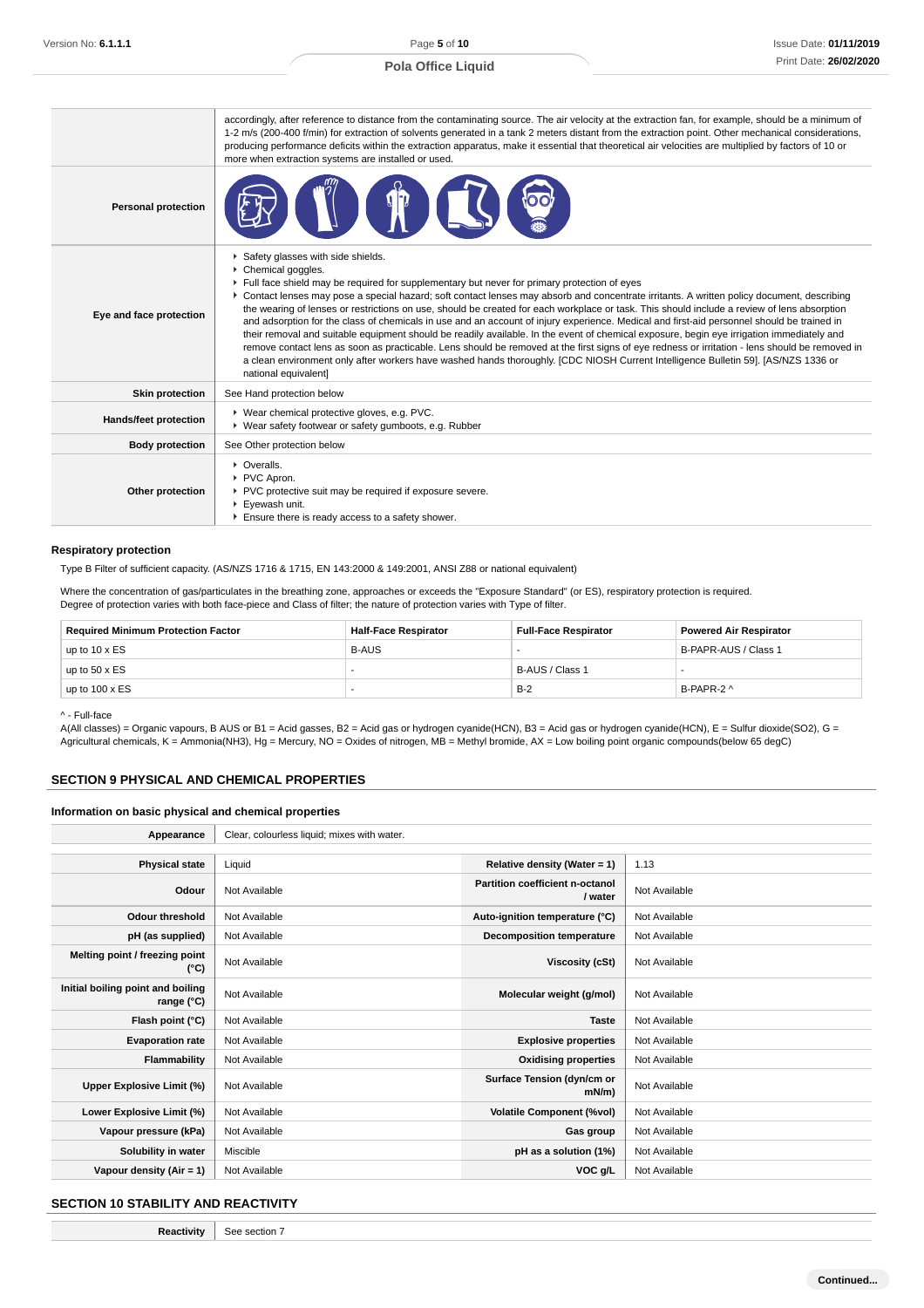|                            | accordingly, after reference to distance from the contaminating source. The air velocity at the extraction fan, for example, should be a minimum of<br>1-2 m/s (200-400 f/min) for extraction of solvents generated in a tank 2 meters distant from the extraction point. Other mechanical considerations,<br>producing performance deficits within the extraction apparatus, make it essential that theoretical air velocities are multiplied by factors of 10 or<br>more when extraction systems are installed or used.                                                                                                                                                                                                                                                                                                                                                                                                                                                                                                                                      |  |
|----------------------------|----------------------------------------------------------------------------------------------------------------------------------------------------------------------------------------------------------------------------------------------------------------------------------------------------------------------------------------------------------------------------------------------------------------------------------------------------------------------------------------------------------------------------------------------------------------------------------------------------------------------------------------------------------------------------------------------------------------------------------------------------------------------------------------------------------------------------------------------------------------------------------------------------------------------------------------------------------------------------------------------------------------------------------------------------------------|--|
| <b>Personal protection</b> |                                                                                                                                                                                                                                                                                                                                                                                                                                                                                                                                                                                                                                                                                                                                                                                                                                                                                                                                                                                                                                                                |  |
| Eye and face protection    | Safety glasses with side shields.<br>Chemical goggles.<br>Full face shield may be required for supplementary but never for primary protection of eyes<br>• Contact lenses may pose a special hazard; soft contact lenses may absorb and concentrate irritants. A written policy document, describing<br>the wearing of lenses or restrictions on use, should be created for each workplace or task. This should include a review of lens absorption<br>and adsorption for the class of chemicals in use and an account of injury experience. Medical and first-aid personnel should be trained in<br>their removal and suitable equipment should be readily available. In the event of chemical exposure, begin eye irrigation immediately and<br>remove contact lens as soon as practicable. Lens should be removed at the first signs of eye redness or irritation - lens should be removed in<br>a clean environment only after workers have washed hands thoroughly. [CDC NIOSH Current Intelligence Bulletin 59]. [AS/NZS 1336 or<br>national equivalent] |  |
| <b>Skin protection</b>     | See Hand protection below                                                                                                                                                                                                                                                                                                                                                                                                                                                                                                                                                                                                                                                                                                                                                                                                                                                                                                                                                                                                                                      |  |
| Hands/feet protection      | ▶ Wear chemical protective gloves, e.g. PVC.<br>▶ Wear safety footwear or safety gumboots, e.g. Rubber                                                                                                                                                                                                                                                                                                                                                                                                                                                                                                                                                                                                                                                                                                                                                                                                                                                                                                                                                         |  |
| <b>Body protection</b>     | See Other protection below                                                                                                                                                                                                                                                                                                                                                                                                                                                                                                                                                                                                                                                                                                                                                                                                                                                                                                                                                                                                                                     |  |
| Other protection           | • Overalls.<br>PVC Apron.<br>▶ PVC protective suit may be required if exposure severe.<br>▶ Eyewash unit.<br>Ensure there is ready access to a safety shower.                                                                                                                                                                                                                                                                                                                                                                                                                                                                                                                                                                                                                                                                                                                                                                                                                                                                                                  |  |

### **Respiratory protection**

Type B Filter of sufficient capacity. (AS/NZS 1716 & 1715, EN 143:2000 & 149:2001, ANSI Z88 or national equivalent)

Where the concentration of gas/particulates in the breathing zone, approaches or exceeds the "Exposure Standard" (or ES), respiratory protection is required.

Degree of protection varies with both face-piece and Class of filter; the nature of protection varies with Type of filter.

| <b>Required Minimum Protection Factor</b> | <b>Half-Face Respirator</b> | <b>Full-Face Respirator</b> | <b>Powered Air Respirator</b> |
|-------------------------------------------|-----------------------------|-----------------------------|-------------------------------|
| up to $10 \times ES$                      | <b>B-AUS</b>                |                             | B-PAPR-AUS / Class 1          |
| up to $50 \times ES$                      |                             | B-AUS / Class 1             |                               |
| up to $100 \times ES$                     |                             | $B-2$                       | B-PAPR-2 ^                    |

^ - Full-face

A(All classes) = Organic vapours, B AUS or B1 = Acid gasses, B2 = Acid gas or hydrogen cyanide(HCN), B3 = Acid gas or hydrogen cyanide(HCN), E = Sulfur dioxide(SO2), G = Agricultural chemicals, K = Ammonia(NH3), Hg = Mercury, NO = Oxides of nitrogen, MB = Methyl bromide, AX = Low boiling point organic compounds(below 65 degC)

### **SECTION 9 PHYSICAL AND CHEMICAL PROPERTIES**

### **Information on basic physical and chemical properties**

| Appearance                                      | Clear, colourless liquid; mixes with water. |                                            |               |
|-------------------------------------------------|---------------------------------------------|--------------------------------------------|---------------|
|                                                 |                                             |                                            |               |
| <b>Physical state</b>                           | Liquid                                      | Relative density (Water = 1)               | 1.13          |
| Odour                                           | Not Available                               | Partition coefficient n-octanol<br>/ water | Not Available |
| <b>Odour threshold</b>                          | Not Available                               | Auto-ignition temperature (°C)             | Not Available |
| pH (as supplied)                                | Not Available                               | Decomposition temperature                  | Not Available |
| Melting point / freezing point<br>(°C)          | Not Available                               | Viscosity (cSt)                            | Not Available |
| Initial boiling point and boiling<br>range (°C) | Not Available                               | Molecular weight (g/mol)                   | Not Available |
| Flash point (°C)                                | Not Available                               | <b>Taste</b>                               | Not Available |
| <b>Evaporation rate</b>                         | Not Available                               | <b>Explosive properties</b>                | Not Available |
| <b>Flammability</b>                             | Not Available                               | <b>Oxidising properties</b>                | Not Available |
| Upper Explosive Limit (%)                       | Not Available                               | Surface Tension (dyn/cm or<br>$mN/m$ )     | Not Available |
| Lower Explosive Limit (%)                       | Not Available                               | <b>Volatile Component (%vol)</b>           | Not Available |
| Vapour pressure (kPa)                           | Not Available                               | Gas group                                  | Not Available |
| Solubility in water                             | Miscible                                    | pH as a solution (1%)                      | Not Available |
| Vapour density (Air = 1)                        | Not Available                               | VOC g/L                                    | Not Available |

### **SECTION 10 STABILITY AND REACTIVITY**

**Reactivity** See section 7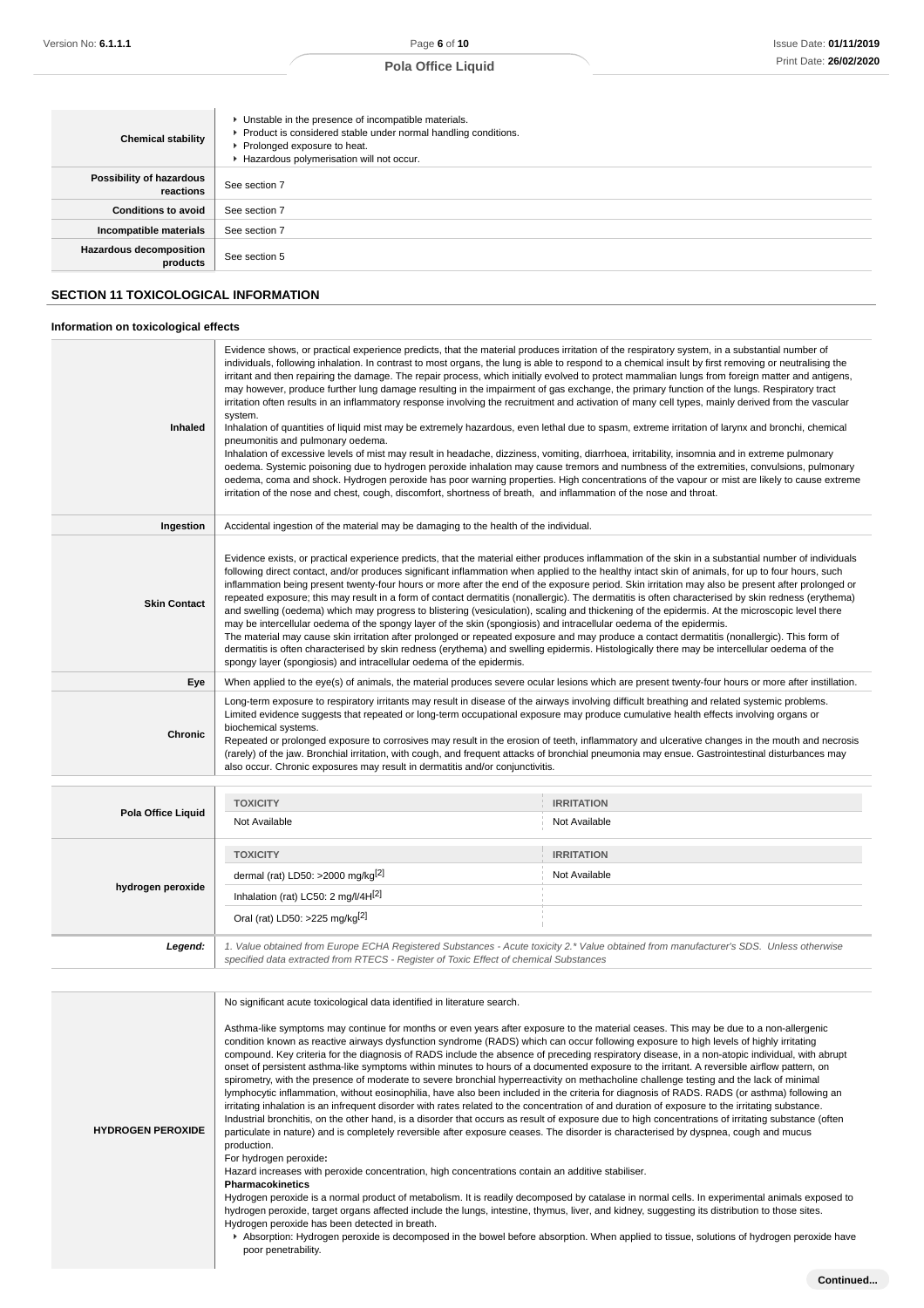| <b>Chemical stability</b>                  | • Unstable in the presence of incompatible materials.<br>Product is considered stable under normal handling conditions.<br>▶ Prolonged exposure to heat.<br>Hazardous polymerisation will not occur. |
|--------------------------------------------|------------------------------------------------------------------------------------------------------------------------------------------------------------------------------------------------------|
| Possibility of hazardous<br>reactions      | See section 7                                                                                                                                                                                        |
| <b>Conditions to avoid</b>                 | See section 7                                                                                                                                                                                        |
| Incompatible materials                     | See section 7                                                                                                                                                                                        |
| <b>Hazardous decomposition</b><br>products | See section 5                                                                                                                                                                                        |

# **SECTION 11 TOXICOLOGICAL INFORMATION**

# **Information on toxicological effects**

| Evidence shows, or practical experience predicts, that the material produces irritation of the respiratory system, in a substantial number of<br>individuals, following inhalation. In contrast to most organs, the lung is able to respond to a chemical insult by first removing or neutralising the<br>irritant and then repairing the damage. The repair process, which initially evolved to protect mammalian lungs from foreign matter and antigens,<br>may however, produce further lung damage resulting in the impairment of gas exchange, the primary function of the lungs. Respiratory tract<br>irritation often results in an inflammatory response involving the recruitment and activation of many cell types, mainly derived from the vascular<br>system.<br>Inhaled<br>Inhalation of quantities of liquid mist may be extremely hazardous, even lethal due to spasm, extreme irritation of larynx and bronchi, chemical<br>pneumonitis and pulmonary oedema.<br>Inhalation of excessive levels of mist may result in headache, dizziness, vomiting, diarrhoea, irritability, insomnia and in extreme pulmonary<br>oedema. Systemic poisoning due to hydrogen peroxide inhalation may cause tremors and numbness of the extremities, convulsions, pulmonary<br>oedema, coma and shock. Hydrogen peroxide has poor warning properties. High concentrations of the vapour or mist are likely to cause extreme<br>irritation of the nose and chest, cough, discomfort, shortness of breath, and inflammation of the nose and throat. |                                                                                                                                                                                                                                                                                                                                                                                                                                                                                                                                                                                                                                                                                                                                                                                                                                                                                                                                                                                                                                                                                                                                                                                                                                                                       |                   |
|---------------------------------------------------------------------------------------------------------------------------------------------------------------------------------------------------------------------------------------------------------------------------------------------------------------------------------------------------------------------------------------------------------------------------------------------------------------------------------------------------------------------------------------------------------------------------------------------------------------------------------------------------------------------------------------------------------------------------------------------------------------------------------------------------------------------------------------------------------------------------------------------------------------------------------------------------------------------------------------------------------------------------------------------------------------------------------------------------------------------------------------------------------------------------------------------------------------------------------------------------------------------------------------------------------------------------------------------------------------------------------------------------------------------------------------------------------------------------------------------------------------------------------------------------|-----------------------------------------------------------------------------------------------------------------------------------------------------------------------------------------------------------------------------------------------------------------------------------------------------------------------------------------------------------------------------------------------------------------------------------------------------------------------------------------------------------------------------------------------------------------------------------------------------------------------------------------------------------------------------------------------------------------------------------------------------------------------------------------------------------------------------------------------------------------------------------------------------------------------------------------------------------------------------------------------------------------------------------------------------------------------------------------------------------------------------------------------------------------------------------------------------------------------------------------------------------------------|-------------------|
| Ingestion                                                                                                                                                                                                                                                                                                                                                                                                                                                                                                                                                                                                                                                                                                                                                                                                                                                                                                                                                                                                                                                                                                                                                                                                                                                                                                                                                                                                                                                                                                                                         | Accidental ingestion of the material may be damaging to the health of the individual.                                                                                                                                                                                                                                                                                                                                                                                                                                                                                                                                                                                                                                                                                                                                                                                                                                                                                                                                                                                                                                                                                                                                                                                 |                   |
| <b>Skin Contact</b>                                                                                                                                                                                                                                                                                                                                                                                                                                                                                                                                                                                                                                                                                                                                                                                                                                                                                                                                                                                                                                                                                                                                                                                                                                                                                                                                                                                                                                                                                                                               | Evidence exists, or practical experience predicts, that the material either produces inflammation of the skin in a substantial number of individuals<br>following direct contact, and/or produces significant inflammation when applied to the healthy intact skin of animals, for up to four hours, such<br>inflammation being present twenty-four hours or more after the end of the exposure period. Skin irritation may also be present after prolonged or<br>repeated exposure; this may result in a form of contact dermatitis (nonallergic). The dermatitis is often characterised by skin redness (erythema)<br>and swelling (oedema) which may progress to blistering (vesiculation), scaling and thickening of the epidermis. At the microscopic level there<br>may be intercellular oedema of the spongy layer of the skin (spongiosis) and intracellular oedema of the epidermis.<br>The material may cause skin irritation after prolonged or repeated exposure and may produce a contact dermatitis (nonallergic). This form of<br>dermatitis is often characterised by skin redness (erythema) and swelling epidermis. Histologically there may be intercellular oedema of the<br>spongy layer (spongiosis) and intracellular oedema of the epidermis. |                   |
| Eye                                                                                                                                                                                                                                                                                                                                                                                                                                                                                                                                                                                                                                                                                                                                                                                                                                                                                                                                                                                                                                                                                                                                                                                                                                                                                                                                                                                                                                                                                                                                               | When applied to the eye(s) of animals, the material produces severe ocular lesions which are present twenty-four hours or more after instillation.                                                                                                                                                                                                                                                                                                                                                                                                                                                                                                                                                                                                                                                                                                                                                                                                                                                                                                                                                                                                                                                                                                                    |                   |
| <b>Chronic</b>                                                                                                                                                                                                                                                                                                                                                                                                                                                                                                                                                                                                                                                                                                                                                                                                                                                                                                                                                                                                                                                                                                                                                                                                                                                                                                                                                                                                                                                                                                                                    | Long-term exposure to respiratory irritants may result in disease of the airways involving difficult breathing and related systemic problems.<br>Limited evidence suggests that repeated or long-term occupational exposure may produce cumulative health effects involving organs or<br>biochemical systems.<br>Repeated or prolonged exposure to corrosives may result in the erosion of teeth, inflammatory and ulcerative changes in the mouth and necrosis<br>(rarely) of the jaw. Bronchial irritation, with cough, and frequent attacks of bronchial pneumonia may ensue. Gastrointestinal disturbances may<br>also occur. Chronic exposures may result in dermatitis and/or conjunctivitis.                                                                                                                                                                                                                                                                                                                                                                                                                                                                                                                                                                   |                   |
| Bala Office Lincold                                                                                                                                                                                                                                                                                                                                                                                                                                                                                                                                                                                                                                                                                                                                                                                                                                                                                                                                                                                                                                                                                                                                                                                                                                                                                                                                                                                                                                                                                                                               | <b>TOXICITY</b>                                                                                                                                                                                                                                                                                                                                                                                                                                                                                                                                                                                                                                                                                                                                                                                                                                                                                                                                                                                                                                                                                                                                                                                                                                                       | <b>IRRITATION</b> |

|                                                                                                                                                                                                                                            | .                                          |                   |
|--------------------------------------------------------------------------------------------------------------------------------------------------------------------------------------------------------------------------------------------|--------------------------------------------|-------------------|
| Pola Office Liquid                                                                                                                                                                                                                         | Not Available                              | Not Available     |
|                                                                                                                                                                                                                                            |                                            |                   |
|                                                                                                                                                                                                                                            | <b>TOXICITY</b>                            | <b>IRRITATION</b> |
|                                                                                                                                                                                                                                            | dermal (rat) LD50: >2000 mg/kg $[2]$       | Not Available     |
| hydrogen peroxide                                                                                                                                                                                                                          | Inhalation (rat) LC50: 2 mg/l/4H $[2]$     |                   |
|                                                                                                                                                                                                                                            | Oral (rat) LD50: >225 mg/kg <sup>[2]</sup> |                   |
| 1. Value obtained from Europe ECHA Registered Substances - Acute toxicity 2.* Value obtained from manufacturer's SDS. Unless otherwise<br>Legend:<br>specified data extracted from RTECS - Register of Toxic Effect of chemical Substances |                                            |                   |

| <b>HYDROGEN PEROXIDE</b> | No significant acute toxicological data identified in literature search.<br>Asthma-like symptoms may continue for months or even years after exposure to the material ceases. This may be due to a non-allergenic<br>condition known as reactive airways dysfunction syndrome (RADS) which can occur following exposure to high levels of highly irritating<br>compound. Key criteria for the diagnosis of RADS include the absence of preceding respiratory disease, in a non-atopic individual, with abrupt<br>onset of persistent asthma-like symptoms within minutes to hours of a documented exposure to the irritant. A reversible airflow pattern, on<br>spirometry, with the presence of moderate to severe bronchial hyperreactivity on methacholine challenge testing and the lack of minimal<br>lymphocytic inflammation, without eosinophilia, have also been included in the criteria for diagnosis of RADS. RADS (or asthma) following an<br>irritating inhalation is an infrequent disorder with rates related to the concentration of and duration of exposure to the irritating substance.<br>Industrial bronchitis, on the other hand, is a disorder that occurs as result of exposure due to high concentrations of irritating substance (often<br>particulate in nature) and is completely reversible after exposure ceases. The disorder is characterised by dyspnea, cough and mucus<br>production.<br>For hydrogen peroxide:<br>Hazard increases with peroxide concentration, high concentrations contain an additive stabiliser. |
|--------------------------|----------------------------------------------------------------------------------------------------------------------------------------------------------------------------------------------------------------------------------------------------------------------------------------------------------------------------------------------------------------------------------------------------------------------------------------------------------------------------------------------------------------------------------------------------------------------------------------------------------------------------------------------------------------------------------------------------------------------------------------------------------------------------------------------------------------------------------------------------------------------------------------------------------------------------------------------------------------------------------------------------------------------------------------------------------------------------------------------------------------------------------------------------------------------------------------------------------------------------------------------------------------------------------------------------------------------------------------------------------------------------------------------------------------------------------------------------------------------------------------------------------------------------------------------------------|
|                          | <b>Pharmacokinetics</b><br>Hydrogen peroxide is a normal product of metabolism. It is readily decomposed by catalase in normal cells. In experimental animals exposed to<br>hydrogen peroxide, target organs affected include the lungs, intestine, thymus, liver, and kidney, suggesting its distribution to those sites.<br>Hydrogen peroxide has been detected in breath.<br>Absorption: Hydrogen peroxide is decomposed in the bowel before absorption. When applied to tissue, solutions of hydrogen peroxide have                                                                                                                                                                                                                                                                                                                                                                                                                                                                                                                                                                                                                                                                                                                                                                                                                                                                                                                                                                                                                                  |
|                          | poor penetrability.                                                                                                                                                                                                                                                                                                                                                                                                                                                                                                                                                                                                                                                                                                                                                                                                                                                                                                                                                                                                                                                                                                                                                                                                                                                                                                                                                                                                                                                                                                                                      |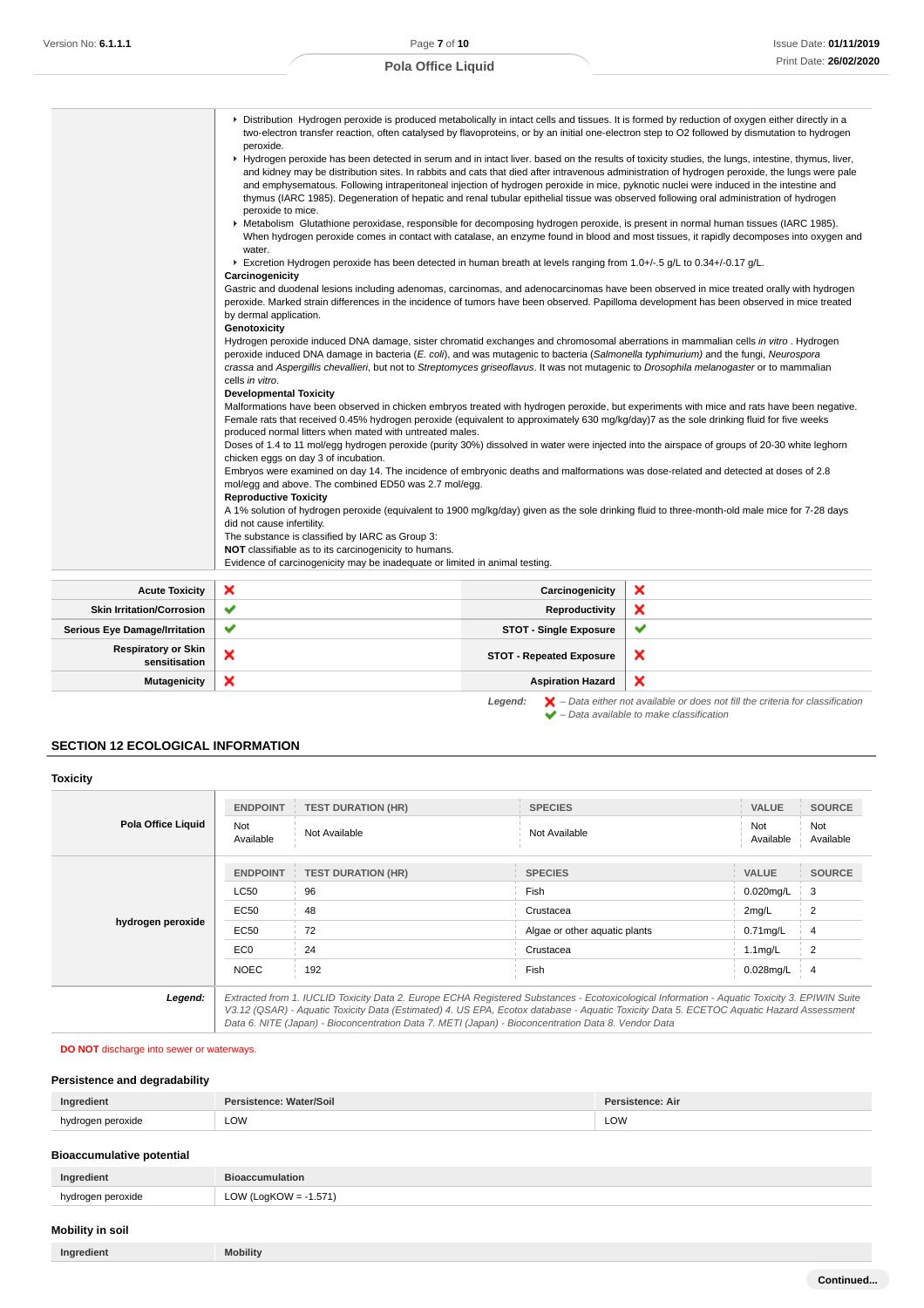|                                             | ▶ Distribution Hydrogen peroxide is produced metabolically in intact cells and tissues. It is formed by reduction of oxygen either directly in a<br>peroxide.<br>and emphysematous. Following intraperitoneal injection of hydrogen peroxide in mice, pyknotic nuclei were induced in the intestine and<br>thymus (IARC 1985). Degeneration of hepatic and renal tubular epithelial tissue was observed following oral administration of hydrogen<br>peroxide to mice.<br>► Metabolism Glutathione peroxidase, responsible for decomposing hydrogen peroxide, is present in normal human tissues (IARC 1985).<br>water.<br>Excretion Hydrogen peroxide has been detected in human breath at levels ranging from 1.0+/-.5 g/L to 0.34+/-0.17 g/L.<br>Carcinogenicity<br>Gastric and duodenal lesions including adenomas, carcinomas, and adenocarcinomas have been observed in mice treated orally with hydrogen<br>peroxide. Marked strain differences in the incidence of tumors have been observed. Papilloma development has been observed in mice treated<br>by dermal application.<br>Genotoxicity<br>Hydrogen peroxide induced DNA damage, sister chromatid exchanges and chromosomal aberrations in mammalian cells in vitro. Hydrogen<br>peroxide induced DNA damage in bacteria (E. coli), and was mutagenic to bacteria (Salmonella typhimurium) and the fungi, Neurospora<br>crassa and Aspergillis chevallieri, but not to Streptomyces griseoflavus. It was not mutagenic to Drosophila melanogaster or to mammalian<br>cells in vitro.<br><b>Developmental Toxicity</b><br>Malformations have been observed in chicken embryos treated with hydrogen peroxide, but experiments with mice and rats have been negative.<br>Female rats that received 0.45% hydrogen peroxide (equivalent to approximately 630 mg/kg/day)7 as the sole drinking fluid for five weeks<br>produced normal litters when mated with untreated males.<br>Doses of 1.4 to 11 mol/egg hydrogen peroxide (purity 30%) dissolved in water were injected into the airspace of groups of 20-30 white leghorn<br>chicken eggs on day 3 of incubation.<br>Embryos were examined on day 14. The incidence of embryonic deaths and malformations was dose-related and detected at doses of 2.8<br>mol/egg and above. The combined ED50 was 2.7 mol/egg.<br><b>Reproductive Toxicity</b> |                                 | two-electron transfer reaction, often catalysed by flavoproteins, or by an initial one-electron step to O2 followed by dismutation to hydrogen<br>▶ Hydrogen peroxide has been detected in serum and in intact liver. based on the results of toxicity studies, the lungs, intestine, thymus, liver,<br>and kidney may be distribution sites. In rabbits and cats that died after intravenous administration of hydrogen peroxide, the lungs were pale<br>When hydrogen peroxide comes in contact with catalase, an enzyme found in blood and most tissues, it rapidly decomposes into oxygen and |
|---------------------------------------------|---------------------------------------------------------------------------------------------------------------------------------------------------------------------------------------------------------------------------------------------------------------------------------------------------------------------------------------------------------------------------------------------------------------------------------------------------------------------------------------------------------------------------------------------------------------------------------------------------------------------------------------------------------------------------------------------------------------------------------------------------------------------------------------------------------------------------------------------------------------------------------------------------------------------------------------------------------------------------------------------------------------------------------------------------------------------------------------------------------------------------------------------------------------------------------------------------------------------------------------------------------------------------------------------------------------------------------------------------------------------------------------------------------------------------------------------------------------------------------------------------------------------------------------------------------------------------------------------------------------------------------------------------------------------------------------------------------------------------------------------------------------------------------------------------------------------------------------------------------------------------------------------------------------------------------------------------------------------------------------------------------------------------------------------------------------------------------------------------------------------------------------------------------------------------------------------------------------------------------------------------------------------------------------------------------------------------------------------------------------------|---------------------------------|---------------------------------------------------------------------------------------------------------------------------------------------------------------------------------------------------------------------------------------------------------------------------------------------------------------------------------------------------------------------------------------------------------------------------------------------------------------------------------------------------------------------------------------------------------------------------------------------------|
|                                             | A 1% solution of hydrogen peroxide (equivalent to 1900 mg/kg/day) given as the sole drinking fluid to three-month-old male mice for 7-28 days<br>did not cause infertility.<br>The substance is classified by IARC as Group 3:<br>NOT classifiable as to its carcinogenicity to humans.<br>Evidence of carcinogenicity may be inadequate or limited in animal testing.                                                                                                                                                                                                                                                                                                                                                                                                                                                                                                                                                                                                                                                                                                                                                                                                                                                                                                                                                                                                                                                                                                                                                                                                                                                                                                                                                                                                                                                                                                                                                                                                                                                                                                                                                                                                                                                                                                                                                                                              |                                 |                                                                                                                                                                                                                                                                                                                                                                                                                                                                                                                                                                                                   |
|                                             |                                                                                                                                                                                                                                                                                                                                                                                                                                                                                                                                                                                                                                                                                                                                                                                                                                                                                                                                                                                                                                                                                                                                                                                                                                                                                                                                                                                                                                                                                                                                                                                                                                                                                                                                                                                                                                                                                                                                                                                                                                                                                                                                                                                                                                                                                                                                                                     |                                 |                                                                                                                                                                                                                                                                                                                                                                                                                                                                                                                                                                                                   |
| <b>Acute Toxicity</b>                       | ×                                                                                                                                                                                                                                                                                                                                                                                                                                                                                                                                                                                                                                                                                                                                                                                                                                                                                                                                                                                                                                                                                                                                                                                                                                                                                                                                                                                                                                                                                                                                                                                                                                                                                                                                                                                                                                                                                                                                                                                                                                                                                                                                                                                                                                                                                                                                                                   | Carcinogenicity                 | ×                                                                                                                                                                                                                                                                                                                                                                                                                                                                                                                                                                                                 |
| <b>Skin Irritation/Corrosion</b>            | ✔                                                                                                                                                                                                                                                                                                                                                                                                                                                                                                                                                                                                                                                                                                                                                                                                                                                                                                                                                                                                                                                                                                                                                                                                                                                                                                                                                                                                                                                                                                                                                                                                                                                                                                                                                                                                                                                                                                                                                                                                                                                                                                                                                                                                                                                                                                                                                                   | Reproductivity                  | ×                                                                                                                                                                                                                                                                                                                                                                                                                                                                                                                                                                                                 |
| <b>Serious Eye Damage/Irritation</b>        | ✔                                                                                                                                                                                                                                                                                                                                                                                                                                                                                                                                                                                                                                                                                                                                                                                                                                                                                                                                                                                                                                                                                                                                                                                                                                                                                                                                                                                                                                                                                                                                                                                                                                                                                                                                                                                                                                                                                                                                                                                                                                                                                                                                                                                                                                                                                                                                                                   | <b>STOT - Single Exposure</b>   | ✔                                                                                                                                                                                                                                                                                                                                                                                                                                                                                                                                                                                                 |
| <b>Respiratory or Skin</b><br>sensitisation | ×                                                                                                                                                                                                                                                                                                                                                                                                                                                                                                                                                                                                                                                                                                                                                                                                                                                                                                                                                                                                                                                                                                                                                                                                                                                                                                                                                                                                                                                                                                                                                                                                                                                                                                                                                                                                                                                                                                                                                                                                                                                                                                                                                                                                                                                                                                                                                                   | <b>STOT - Repeated Exposure</b> | ×                                                                                                                                                                                                                                                                                                                                                                                                                                                                                                                                                                                                 |

**SECTION 12 ECOLOGICAL INFORMATION**

| <b>Toxicity</b>    |                         |                                                                                                                                                                                                                                                                                                                                                                                                 |                               |                  |                  |
|--------------------|-------------------------|-------------------------------------------------------------------------------------------------------------------------------------------------------------------------------------------------------------------------------------------------------------------------------------------------------------------------------------------------------------------------------------------------|-------------------------------|------------------|------------------|
| Pola Office Liquid | <b>ENDPOINT</b>         | <b>TEST DURATION (HR)</b>                                                                                                                                                                                                                                                                                                                                                                       | <b>SPECIES</b>                | <b>VALUE</b>     | <b>SOURCE</b>    |
|                    | <b>Not</b><br>Available | Not Available                                                                                                                                                                                                                                                                                                                                                                                   | Not Available                 | Not<br>Available | Not<br>Available |
| hydrogen peroxide  | <b>ENDPOINT</b>         | <b>TEST DURATION (HR)</b>                                                                                                                                                                                                                                                                                                                                                                       | <b>SPECIES</b>                | <b>VALUE</b>     | <b>SOURCE</b>    |
|                    | <b>LC50</b>             | 96                                                                                                                                                                                                                                                                                                                                                                                              | Fish                          | $0.020$ mg/L     | 3                |
|                    | EC50                    | 48                                                                                                                                                                                                                                                                                                                                                                                              | Crustacea                     | 2mg/L            | $\overline{2}$   |
|                    | EC50                    | 72                                                                                                                                                                                                                                                                                                                                                                                              | Algae or other aquatic plants | $0.71$ mg/L      | 4                |
|                    | EC <sub>0</sub>         | 24                                                                                                                                                                                                                                                                                                                                                                                              | Crustacea                     | $1.1$ mg/L       | $\overline{2}$   |
|                    | <b>NOEC</b>             | 192                                                                                                                                                                                                                                                                                                                                                                                             | Fish                          | 0.028mg/L        | $\overline{4}$   |
| Legend:            |                         | Extracted from 1. IUCLID Toxicity Data 2. Europe ECHA Registered Substances - Ecotoxicological Information - Aquatic Toxicity 3. EPIWIN Suite<br>V3.12 (QSAR) - Aquatic Toxicity Data (Estimated) 4. US EPA, Ecotox database - Aquatic Toxicity Data 5. ECETOC Aquatic Hazard Assessment<br>Data 6. NITE (Japan) - Bioconcentration Data 7. METI (Japan) - Bioconcentration Data 8. Vendor Data |                               |                  |                  |

**Mutagenicity X Aspiration Hazard** 

**Legend:**  $\mathbf{X}$  – Data either not available or does not fill the criteria for classification

– Data available to make classification

 $\overline{\mathbf{x}}$ 

### **DO NOT** discharge into sewer or waterways.

### **Persistence and degradability**

| Ingredient      |     | ce: Air |
|-----------------|-----|---------|
| neroxide<br>hvr | LOW | LOW     |
|                 |     |         |

### **Bioaccumulative potential**

| Ingredient        | <b>Bioaccumulation</b>   |
|-------------------|--------------------------|
| hydrogen peroxide | LOW (LogKOW = $-1.571$ ) |

# **Mobility in soil**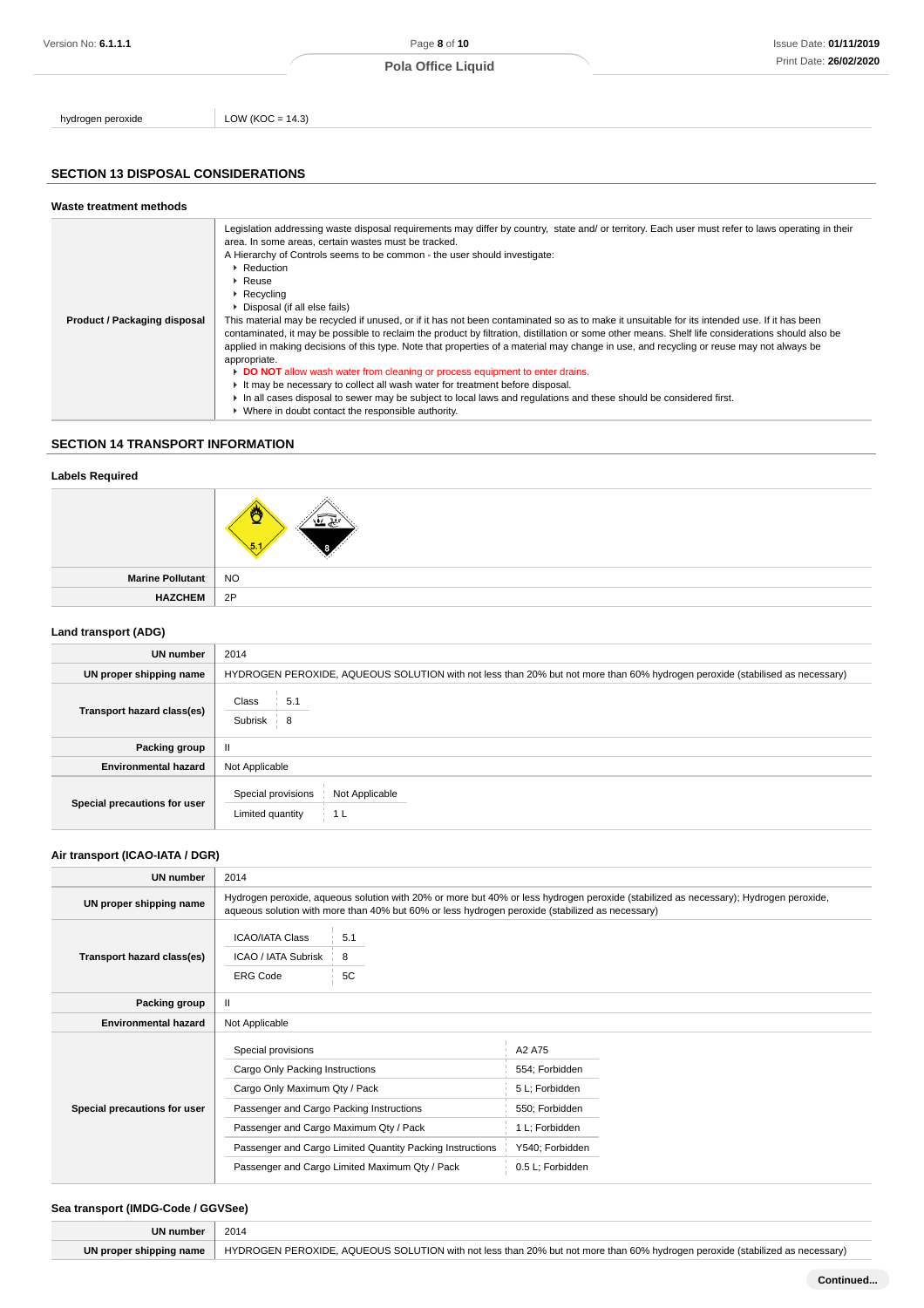hydrogen peroxide LOW (KOC = 14.3)

### **SECTION 13 DISPOSAL CONSIDERATIONS**

#### **Waste treatment methods Product / Packaging disposal** Legislation addressing waste disposal requirements may differ by country, state and/ or territory. Each user must refer to laws operating in their area. In some areas, certain wastes must be tracked. A Hierarchy of Controls seems to be common - the user should investigate: ▶ Reduction Reuse Recycling Disposal (if all else fails) This material may be recycled if unused, or if it has not been contaminated so as to make it unsuitable for its intended use. If it has been contaminated, it may be possible to reclaim the product by filtration, distillation or some other means. Shelf life considerations should also be applied in making decisions of this type. Note that properties of a material may change in use, and recycling or reuse may not always be appropriate. **DO NOT** allow wash water from cleaning or process equipment to enter drains. It may be necessary to collect all wash water for treatment before disposal. In all cases disposal to sewer may be subject to local laws and regulations and these should be considered first. Where in doubt contact the responsible authority.

### **SECTION 14 TRANSPORT INFORMATION**

| <b>Labels Required</b>  |           |
|-------------------------|-----------|
|                         |           |
| <b>Marine Pollutant</b> | <b>NO</b> |
| <b>HAZCHEM</b>          | 2P        |

#### **Land transport (ADG)**

| UN number                    | 2014                                                                                                                         |
|------------------------------|------------------------------------------------------------------------------------------------------------------------------|
| UN proper shipping name      | HYDROGEN PEROXIDE, AQUEOUS SOLUTION with not less than 20% but not more than 60% hydrogen peroxide (stabilised as necessary) |
| Transport hazard class(es)   | Class<br>5.1<br>Subrisk<br>$-8$                                                                                              |
| Packing group                | $\mathbf{u}$                                                                                                                 |
| <b>Environmental hazard</b>  | Not Applicable                                                                                                               |
| Special precautions for user | Special provisions<br>Not Applicable<br>Limited quantity<br>1 L                                                              |

#### **Air transport (ICAO-IATA / DGR)**

| UN number                    | 2014                                                                                                                                                                         |                                                                                                             |                                                                                                                       |                                                                                                                                      |
|------------------------------|------------------------------------------------------------------------------------------------------------------------------------------------------------------------------|-------------------------------------------------------------------------------------------------------------|-----------------------------------------------------------------------------------------------------------------------|--------------------------------------------------------------------------------------------------------------------------------------|
| UN proper shipping name      |                                                                                                                                                                              | aqueous solution with more than 40% but 60% or less hydrogen peroxide (stabilized as necessary)             |                                                                                                                       | Hydrogen peroxide, aqueous solution with 20% or more but 40% or less hydrogen peroxide (stabilized as necessary); Hydrogen peroxide, |
| Transport hazard class(es)   | <b>ICAO/IATA Class</b><br>ICAO / IATA Subrisk<br><b>ERG Code</b>                                                                                                             | 5.1<br>8<br>5C                                                                                              |                                                                                                                       |                                                                                                                                      |
| Packing group                | $\mathbf{II}$                                                                                                                                                                |                                                                                                             |                                                                                                                       |                                                                                                                                      |
| <b>Environmental hazard</b>  | Not Applicable                                                                                                                                                               |                                                                                                             |                                                                                                                       |                                                                                                                                      |
| Special precautions for user | Special provisions<br>Cargo Only Packing Instructions<br>Cargo Only Maximum Qty / Pack<br>Passenger and Cargo Packing Instructions<br>Passenger and Cargo Maximum Qty / Pack | Passenger and Cargo Limited Quantity Packing Instructions<br>Passenger and Cargo Limited Maximum Qty / Pack | A2 A75<br>554; Forbidden<br>5 L; Forbidden<br>550; Forbidden<br>1 L; Forbidden<br>Y540; Forbidden<br>0.5 L; Forbidden |                                                                                                                                      |

#### **Sea transport (IMDG-Code / GGVSee)**

|                         | 2014                                                                                                                         |
|-------------------------|------------------------------------------------------------------------------------------------------------------------------|
| UN proper shipping name | HYDROGEN PEROXIDE, AQUEOUS SOLUTION with not less than 20% but not more than 60% hydrogen peroxide (stabilized as necessary) |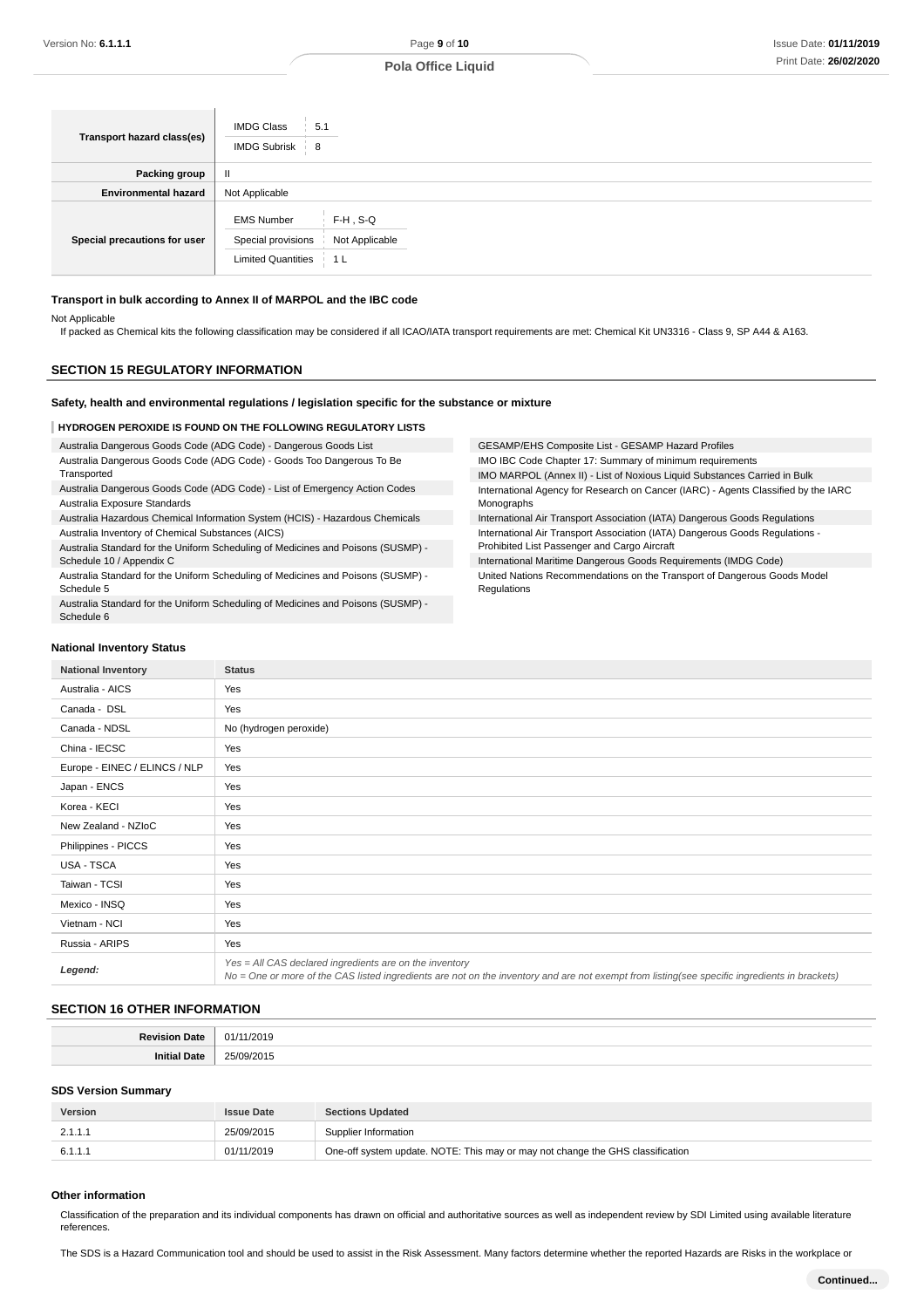| Transport hazard class(es)   | <b>IMDG Class</b><br>5.1<br><b>IMDG Subrisk</b><br>- 8                                                         |
|------------------------------|----------------------------------------------------------------------------------------------------------------|
| Packing group                | H                                                                                                              |
| <b>Environmental hazard</b>  | Not Applicable                                                                                                 |
| Special precautions for user | $F-H$ , S-Q<br><b>EMS Number</b><br>Special provisions<br>Not Applicable<br><b>Limited Quantities</b><br>- 1 L |

#### **Transport in bulk according to Annex II of MARPOL and the IBC code**

Not Applicable

If packed as Chemical kits the following classification may be considered if all ICAO/IATA transport requirements are met: Chemical Kit UN3316 - Class 9, SP A44 & A163.

### **SECTION 15 REGULATORY INFORMATION**

### **Safety, health and environmental regulations / legislation specific for the substance or mixture**

#### **HYDROGEN PEROXIDE IS FOUND ON THE FOLLOWING REGULATORY LISTS**

| Australia Dangerous Goods Code (ADG Code) - Dangerous Goods List                 | GESAMP/EHS Composite List - GESAMP Hazard Profiles                                 |
|----------------------------------------------------------------------------------|------------------------------------------------------------------------------------|
| Australia Dangerous Goods Code (ADG Code) - Goods Too Dangerous To Be            | IMO IBC Code Chapter 17: Summary of minimum requirements                           |
| Transported                                                                      | IMO MARPOL (Annex II) - List of Noxious Liquid Substances Carried in Bulk          |
| Australia Dangerous Goods Code (ADG Code) - List of Emergency Action Codes       | International Agency for Research on Cancer (IARC) - Agents Classified by the IARC |
| Australia Exposure Standards                                                     | Monographs                                                                         |
| Australia Hazardous Chemical Information System (HCIS) - Hazardous Chemicals     | International Air Transport Association (IATA) Dangerous Goods Regulations         |
| Australia Inventory of Chemical Substances (AICS)                                | International Air Transport Association (IATA) Dangerous Goods Regulations -       |
| Australia Standard for the Uniform Scheduling of Medicines and Poisons (SUSMP) - | Prohibited List Passenger and Cargo Aircraft                                       |
| Schedule 10 / Appendix C                                                         | International Maritime Dangerous Goods Requirements (IMDG Code)                    |

Regulations

Australia Standard for the Uniform Scheduling of Medicines and Poisons (SUSMP) - Schedule 5

Australia Standard for the Uniform Scheduling of Medicines and Poisons (SUSMP) - Schedule 6

International Maritime Dangerous Goods Requirements (IMDG Code) United Nations Recommendations on the Transport of Dangerous Goods Model

#### **National Inventory Status**

| <b>National Inventory</b>     | <b>Status</b>                                                                                                                                                                                            |
|-------------------------------|----------------------------------------------------------------------------------------------------------------------------------------------------------------------------------------------------------|
| Australia - AICS              | Yes                                                                                                                                                                                                      |
| Canada - DSL                  | Yes                                                                                                                                                                                                      |
| Canada - NDSL                 | No (hydrogen peroxide)                                                                                                                                                                                   |
| China - IECSC                 | Yes                                                                                                                                                                                                      |
| Europe - EINEC / ELINCS / NLP | Yes                                                                                                                                                                                                      |
| Japan - ENCS                  | Yes                                                                                                                                                                                                      |
| Korea - KECI                  | Yes                                                                                                                                                                                                      |
| New Zealand - NZIoC           | Yes                                                                                                                                                                                                      |
| Philippines - PICCS           | Yes                                                                                                                                                                                                      |
| USA - TSCA                    | Yes                                                                                                                                                                                                      |
| Taiwan - TCSI                 | Yes                                                                                                                                                                                                      |
| Mexico - INSQ                 | Yes                                                                                                                                                                                                      |
| Vietnam - NCI                 | Yes                                                                                                                                                                                                      |
| Russia - ARIPS                | Yes                                                                                                                                                                                                      |
| Legend:                       | Yes = All CAS declared ingredients are on the inventory<br>No = One or more of the CAS listed ingredients are not on the inventory and are not exempt from listing(see specific ingredients in brackets) |

#### **SECTION 16 OTHER INFORMATION**

#### **SDS Version Summary**

| Version | <b>Issue Date</b> | <b>Sections Updated</b>                                                        |
|---------|-------------------|--------------------------------------------------------------------------------|
| 2.1.1.1 | 25/09/2015        | Supplier Information                                                           |
| 6.1.1.1 | 01/11/2019        | One-off system update. NOTE: This may or may not change the GHS classification |

### **Other information**

Classification of the preparation and its individual components has drawn on official and authoritative sources as well as independent review by SDI Limited using available literature references.

The SDS is a Hazard Communication tool and should be used to assist in the Risk Assessment. Many factors determine whether the reported Hazards are Risks in the workplace or